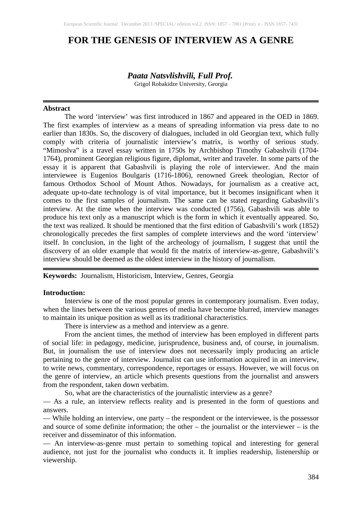# **FOR THE GENESIS OF INTERVIEW AS A GENRE**

# *Paata Natsvlishvili, Full Prof.*

Grigol Robakidze University, Georgia

#### **Abstract**

The word 'interview' was first introduced in 1867 and appeared in the OED in 1869. The first examples of interview as a means of spreading information via press date to no earlier than 1830s. So, the discovery of dialogues, included in old Georgian text, which fully comply with criteria of journalistic interview's matrix, is worthy of serious study. "Mimoslva" is a travel essay written in 1750s by Archbishop Timothy Gabashvili (1704- 1764), prominent Georgian religious figure, diplomat, writer and traveler. In some parts of the essay it is apparent that Gabashvili is playing the role of interviewer. And the main interviewee is Eugenios Boulgaris (1716-1806), renowned Greek theologian, Rector of famous Orthodox School of Mount Athos. Nowadays, for journalism as a creative act, adequate up-to-date technology is of vital importance, but it becomes insignificant when it comes to the first samples of journalism. The same can be stated regarding Gabashvili's interview. At the time when the interview was conducted (1756), Gabashvili was able to produce his text only as a manuscript which is the form in which it eventually appeared. So, the text was realized. It should be mentioned that the first edition of Gabashvili's work (1852) chronologically precedes the first samples of complete interviews and the word 'interview' itself. In conclusion, in the light of the archeology of journalism, I suggest that until the discovery of an older example that would fit the matrix of interview-as-genre, Gabashvili's interview should be deemed as the oldest interview in the history of journalism.

**Keywords:** Journalism, Historicism, Interview, Genres, Georgia

#### **Introduction:**

Interview is one of the most popular genres in contemporary journalism. Even today, when the lines between the various genres of media have become blurred, interview manages to maintain its unique position as well as its traditional characteristics.

There is interview as a method and interview as a genre.

From the ancient times, the method of interview has been employed in different parts of social life: in pedagogy, medicine, jurisprudence, business and, of course, in journalism. But, in journalism the use of interview does not necessarily imply producing an article pertaining to the genre of interview. Journalist can use information acquired in an interview, to write news, commentary, correspondence, reportages or essays. However, we will focus on the genre of interview, an article which presents questions from the journalist and answers from the respondent, taken down verbatim.

So, what are the characteristics of the journalistic interview as a genre?

— As a rule, an interview reflects reality and is presented in the form of questions and answers.

— While holding an interview, one party – the respondent or the interviewee, is the possessor and source of some definite information; the other – the journalist or the interviewer – is the receiver and disseminator of this information.

— An interview-as-genre must pertain to something topical and interesting for general audience, not just for the journalist who conducts it. It implies readership, listenership or viewership.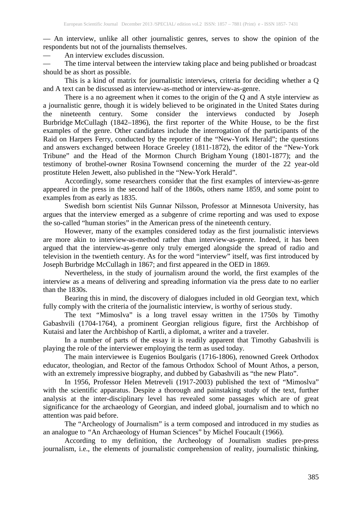— An interview, unlike all other journalistic genres, serves to show the opinion of the respondents but not of the journalists themselves.

— An interview excludes discussion.

The time interval between the interview taking place and being published or broadcast should be as short as possible.

This is a kind of matrix for journalistic interviews, criteria for deciding whether a Q and A text can be discussed as interview-as-method or interview-as-genre.

There is a no agreement when it comes to the origin of the Q and A style interview as a journalistic genre, though it is widely believed to be originated in the United States during the nineteenth century. Some consider the interviews conducted by Joseph Burbridge McCullagh (1842–1896), the first reporter of the White House, to be the first examples of the genre. Other candidates include the interrogation of the participants of the Raid on Harpers Ferry, conducted by the reporter of the "New-York Herald"; the questions and answers exchanged between Horace Greeley (1811-1872), the editor of the "New-York Tribune" and the Head of the Mormon Church Brigham Young (1801-1877); and the testimony of brothel-owner Rosina Townsend concerning the murder of the 22 year-old prostitute Helen Jewett, also published in the "New-York Herald".

Accordingly, some researchers consider that the first examples of interview-as-genre appeared in the press in the second half of the 1860s, others name 1859, and some point to examples from as early as 1835.

Swedish born scientist Nils Gunnar Nilsson, Professor at Minnesota University, has argues that the interview emerged as a subgenre of crime reporting and was used to expose the so-called "human stories" in the American press of the nineteenth century.

However, many of the examples considered today as the first journalistic interviews are more akin to interview-as-method rather than interview-as-genre. Indeed, it has been argued that the interview-as-genre only truly emerged alongside the spread of radio and television in the twentieth century. As for the word "interview" itself, was first introduced by Joseph Burbridge McCullagh in 1867; and first appeared in the OED in 1869.

Nevertheless, in the study of journalism around the world, the first examples of the interview as a means of delivering and spreading information via the press date to no earlier than the 1830s.

Bearing this in mind, the discovery of dialogues included in old Georgian text, which fully comply with the criteria of the journalistic interview, is worthy of serious study.

The text *"*Mimoslva" is a long travel essay written in the 1750s by Timothy Gabashvili (1704-1764), a prominent Georgian religious figure, first the Archbishop of Kutaisi and later the Archbishop of Kartli, a diplomat, a writer and a traveler.

In a number of parts of the essay it is readily apparent that Timothy Gabashvili is playing the role of the interviewer employing the term as used today.

The main interviewee is Eugenios Boulgaris (1716-1806), renowned Greek Orthodox educator, theologian, and Rector of the famous Orthodox School of Mount Athos, a person, with an extremely impressive biography, and dubbed by Gabashvili as "the new Plato".

In 1956, Professor Helen Metreveli (1917-2003) published the text of "Mimoslva" with the scientific apparatus. Despite a thorough and painstaking study of the text, further analysis at the inter-disciplinary level has revealed some passages which are of great significance for the archaeology of Georgian, and indeed global, journalism and to which no attention was paid before.

The "Archeology of Journalism" is a term composed and introduced in my studies as an analogue to *"*An Archaeology of Human Sciences" by Michel Foucault (1966).

According to my definition, the Archeology of Journalism studies pre-press journalism, i.e., the elements of journalistic comprehension of reality, journalistic thinking,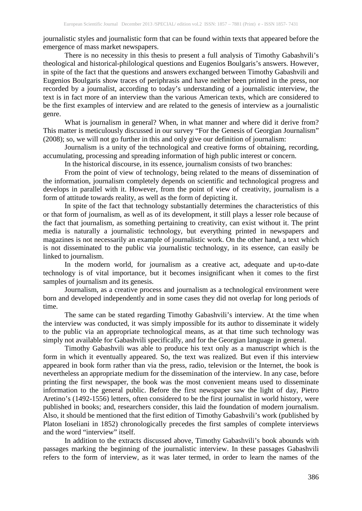journalistic styles and journalistic form that can be found within texts that appeared before the emergence of mass market newspapers.

There is no necessity in this thesis to present a full analysis of Timothy Gabashvili's theological and historical-philological questions and Eugenios Boulgaris's answers. However, in spite of the fact that the questions and answers exchanged between Timothy Gabashvili and Eugenios Boulgaris show traces of periphrasis and have neither been printed in the press, nor recorded by a journalist, according to today's understanding of a journalistic interview, the text is in fact more of an interview than the various American texts, which are considered to be the first examples of interview and are related to the genesis of interview as a journalistic genre.

What is journalism in general? When, in what manner and where did it derive from? This matter is meticulously discussed in our survey "For the Genesis of Georgian Journalism" (2008); so, we will not go further in this and only give our definition of journalism:

Journalism is a unity of the technological and creative forms of obtaining, recording, accumulating, processing and spreading information of high public interest or concern.

In the historical discourse, in its essence, journalism consists of two branches:

From the point of view of technology, being related to the means of dissemination of the information, journalism completely depends on scientific and technological progress and develops in parallel with it. However, from the point of view of creativity, journalism is a form of attitude towards reality, as well as the form of depicting it.

In spite of the fact that technology substantially determines the characteristics of this or that form of journalism, as well as of its development, it still plays a lesser role because of the fact that journalism, as something pertaining to creativity, can exist without it. The print media is naturally a journalistic technology, but everything printed in newspapers and magazines is not necessarily an example of journalistic work. On the other hand, a text which is not disseminated to the public via journalistic technology, in its essence, can easily be linked to journalism.

In the modern world, for journalism as a creative act, adequate and up-to-date technology is of vital importance, but it becomes insignificant when it comes to the first samples of journalism and its genesis.

Journalism, as a creative process and journalism as a technological environment were born and developed independently and in some cases they did not overlap for long periods of time.

The same can be stated regarding Timothy Gabashvili's interview. At the time when the interview was conducted, it was simply impossible for its author to disseminate it widely to the public via an appropriate technological means, as at that time such technology was simply not available for Gabashvili specifically, and for the Georgian language in general.

Timothy Gabashvili was able to produce his text only as a manuscript which is the form in which it eventually appeared. So, the text was realized. But even if this interview appeared in book form rather than via the press, radio, television or the Internet, the book is nevertheless an appropriate medium for the dissemination of the interview. In any case, before printing the first newspaper, the book was the most convenient means used to disseminate information to the general public. Before the first newspaper saw the light of day, Pietro Aretino's (1492-1556) letters, often considered to be the first journalist in world history, were published in books; and, researchers consider, this laid the foundation of modern journalism. Also, it should be mentioned that the first edition of Timothy Gabashvili's work (published by Platon Ioseliani in 1852) chronologically precedes the first samples of complete interviews and the word "interview" itself.

In addition to the extracts discussed above, Timothy Gabashvili's book abounds with passages marking the beginning of the journalistic interview. In these passages Gabashvili refers to the form of interview, as it was later termed, in order to learn the names of the